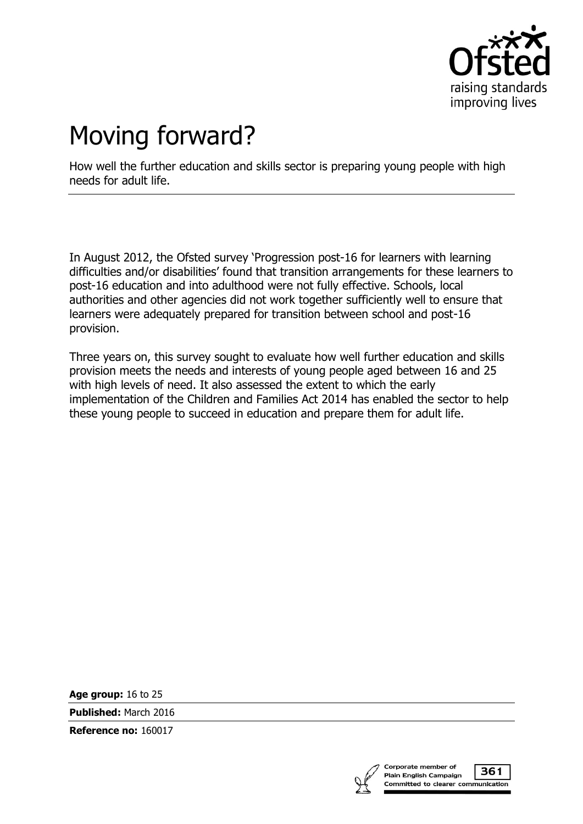

# Moving forward?

How well the further education and skills sector is preparing young people with high needs for adult life.

In August 2012, the Ofsted survey 'Progression post-16 for learners with learning difficulties and/or disabilities' found that transition arrangements for these learners to post-16 education and into adulthood were not fully effective. Schools, local authorities and other agencies did not work together sufficiently well to ensure that learners were adequately prepared for transition between school and post-16 provision.

Three years on, this survey sought to evaluate how well further education and skills provision meets the needs and interests of young people aged between 16 and 25 with high levels of need. It also assessed the extent to which the early implementation of the Children and Families Act 2014 has enabled the sector to help these young people to succeed in education and prepare them for adult life.

**Age group:** 16 to 25

**Published:** March 2016

**Reference no:** 160017



361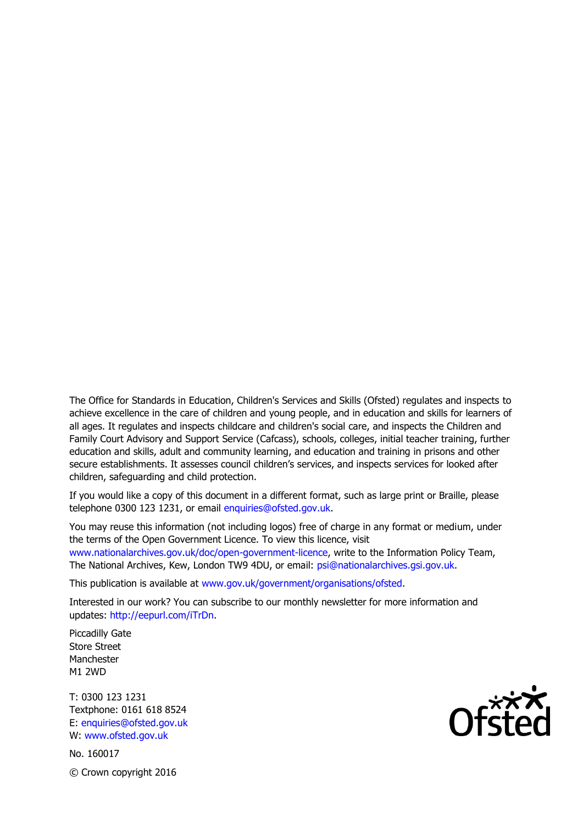The Office for Standards in Education, Children's Services and Skills (Ofsted) regulates and inspects to achieve excellence in the care of children and young people, and in education and skills for learners of all ages. It regulates and inspects childcare and children's social care, and inspects the Children and Family Court Advisory and Support Service (Cafcass), schools, colleges, initial teacher training, further education and skills, adult and community learning, and education and training in prisons and other secure establishments. It assesses council children's services, and inspects services for looked after children, safeguarding and child protection.

If you would like a copy of this document in a different format, such as large print or Braille, please telephone 0300 123 1231, or email enquiries@ofsted.gov.uk.

You may reuse this information (not including logos) free of charge in any format or medium, under the terms of the Open Government Licence. To view this licence, visit [www.nationalarchives.gov.uk/doc/open-government-licence,](http://www.nationalarchives.gov.uk/doc/open-government-licence/) write to the Information Policy Team, The National Archives, Kew, London TW9 4DU, or email: [psi@nationalarchives.gsi.gov.uk.](mailto:psi@nationalarchives.gsi.gov.uk)

This publication is available at [www.gov.uk/government/organisations/ofsted.](http://www.gov.uk/government/organisations/ofsted)

Interested in our work? You can subscribe to our monthly newsletter for more information and updates: [http://eepurl.com/iTrDn.](http://eepurl.com/iTrDn)

Piccadilly Gate Store Street Manchester M1 2WD

T: 0300 123 1231 Textphone: 0161 618 8524 E: enquiries@ofsted.gov.uk W: [www.ofsted.gov.uk](http://www.ofsted.gov.uk/)

No. 160017 © Crown copyright 2016

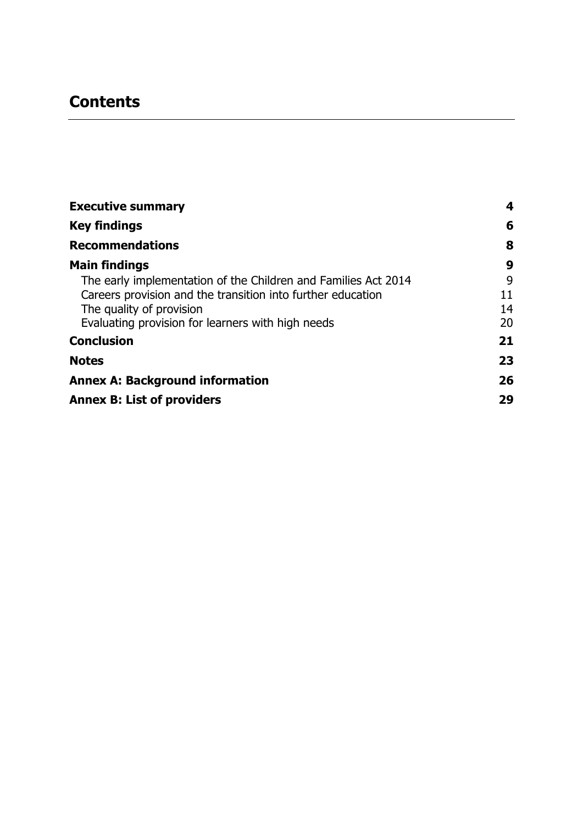# **Contents**

| <b>Executive summary</b>                                       | 4  |
|----------------------------------------------------------------|----|
| <b>Key findings</b>                                            | 6  |
| <b>Recommendations</b>                                         | 8  |
| <b>Main findings</b>                                           | 9  |
| The early implementation of the Children and Families Act 2014 | 9  |
| Careers provision and the transition into further education    | 11 |
| The quality of provision                                       | 14 |
| Evaluating provision for learners with high needs              | 20 |
| <b>Conclusion</b>                                              | 21 |
| <b>Notes</b>                                                   | 23 |
| <b>Annex A: Background information</b>                         | 26 |
| <b>Annex B: List of providers</b>                              | 29 |
|                                                                |    |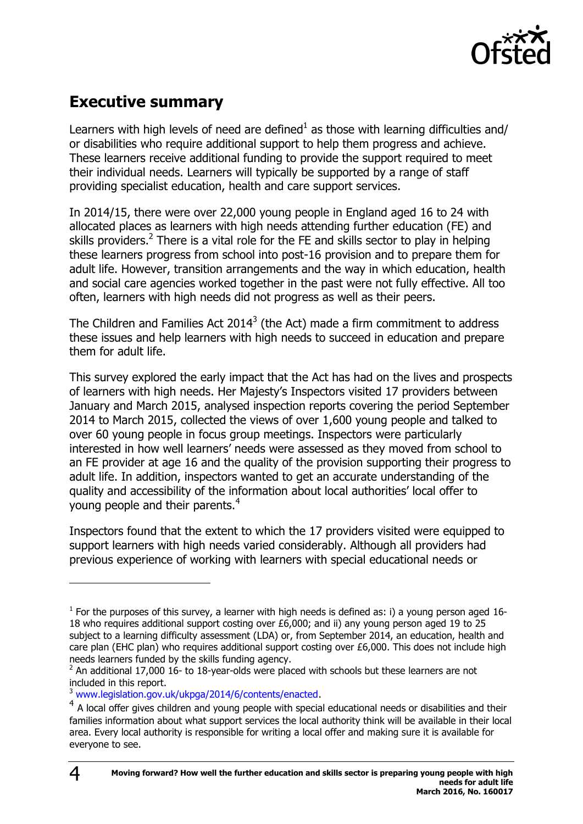

# <span id="page-3-0"></span>**Executive summary**

Learners with high levels of need are defined<sup>1</sup> as those with learning difficulties and/ or disabilities who require additional support to help them progress and achieve. These learners receive additional funding to provide the support required to meet their individual needs. Learners will typically be supported by a range of staff providing specialist education, health and care support services.

In 2014/15, there were over 22,000 young people in England aged 16 to 24 with allocated places as learners with high needs attending further education (FE) and skills providers.<sup>2</sup> There is a vital role for the FE and skills sector to play in helping these learners progress from school into post-16 provision and to prepare them for adult life. However, transition arrangements and the way in which education, health and social care agencies worked together in the past were not fully effective. All too often, learners with high needs did not progress as well as their peers.

The Children and Families Act 2014<sup>3</sup> (the Act) made a firm commitment to address these issues and help learners with high needs to succeed in education and prepare them for adult life.

This survey explored the early impact that the Act has had on the lives and prospects of learners with high needs. Her Majesty's Inspectors visited 17 providers between January and March 2015, analysed inspection reports covering the period September 2014 to March 2015, collected the views of over 1,600 young people and talked to over 60 young people in focus group meetings. Inspectors were particularly interested in how well learners' needs were assessed as they moved from school to an FE provider at age 16 and the quality of the provision supporting their progress to adult life. In addition, inspectors wanted to get an accurate understanding of the quality and accessibility of the information about local authorities' local offer to young people and their parents.<sup>4</sup>

Inspectors found that the extent to which the 17 providers visited were equipped to support learners with high needs varied considerably. Although all providers had previous experience of working with learners with special educational needs or

 $\overline{a}$ 

 $<sup>1</sup>$  For the purposes of this survey, a learner with high needs is defined as: i) a young person aged 16-</sup> 18 who requires additional support costing over £6,000; and ii) any young person aged 19 to 25 subject to a learning difficulty assessment (LDA) or, from September 2014, an education, health and care plan (EHC plan) who requires additional support costing over £6,000. This does not include high needs learners funded by the skills funding agency.

 $2$  An additional 17,000 16- to 18-year-olds were placed with schools but these learners are not included in this report.

<sup>&</sup>lt;sup>3</sup> [www.legislation.gov.uk/ukpga/2014/6/contents/enacted.](http://www.legislation.gov.uk/ukpga/2014/6/contents/enacted)

<sup>&</sup>lt;sup>4</sup> A local offer gives children and young people with special educational needs or disabilities and their families information about what support services the local authority think will be available in their local area. Every local authority is responsible for writing a local offer and making sure it is available for everyone to see.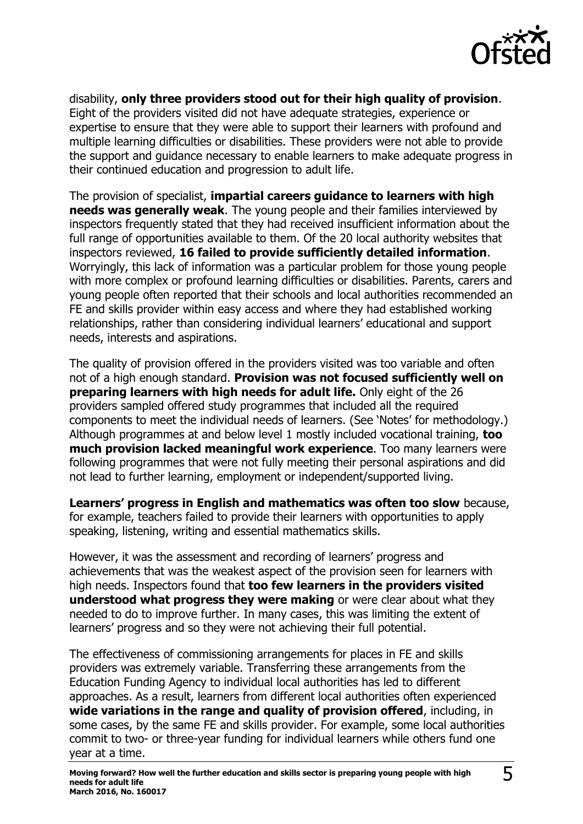

disability, **only three providers stood out for their high quality of provision**. Eight of the providers visited did not have adequate strategies, experience or expertise to ensure that they were able to support their learners with profound and multiple learning difficulties or disabilities. These providers were not able to provide the support and guidance necessary to enable learners to make adequate progress in their continued education and progression to adult life.

The provision of specialist, **impartial careers guidance to learners with high needs was generally weak**. The young people and their families interviewed by inspectors frequently stated that they had received insufficient information about the full range of opportunities available to them. Of the 20 local authority websites that inspectors reviewed, **16 failed to provide sufficiently detailed information**. Worryingly, this lack of information was a particular problem for those young people with more complex or profound learning difficulties or disabilities. Parents, carers and young people often reported that their schools and local authorities recommended an FE and skills provider within easy access and where they had established working relationships, rather than considering individual learners' educational and support needs, interests and aspirations.

The quality of provision offered in the providers visited was too variable and often not of a high enough standard. **Provision was not focused sufficiently well on preparing learners with high needs for adult life.** Only eight of the 26 providers sampled offered study programmes that included all the required components to meet the individual needs of learners. (See 'Notes' for methodology.) Although programmes at and below level 1 mostly included vocational training, **too much provision lacked meaningful work experience**. Too many learners were following programmes that were not fully meeting their personal aspirations and did not lead to further learning, employment or independent/supported living.

**Learners' progress in English and mathematics was often too slow** because, for example, teachers failed to provide their learners with opportunities to apply speaking, listening, writing and essential mathematics skills.

However, it was the assessment and recording of learners' progress and achievements that was the weakest aspect of the provision seen for learners with high needs. Inspectors found that **too few learners in the providers visited understood what progress they were making** or were clear about what they needed to do to improve further. In many cases, this was limiting the extent of learners' progress and so they were not achieving their full potential.

The effectiveness of commissioning arrangements for places in FE and skills providers was extremely variable. Transferring these arrangements from the Education Funding Agency to individual local authorities has led to different approaches. As a result, learners from different local authorities often experienced **wide variations in the range and quality of provision offered**, including, in some cases, by the same FE and skills provider. For example, some local authorities commit to two- or three-year funding for individual learners while others fund one year at a time.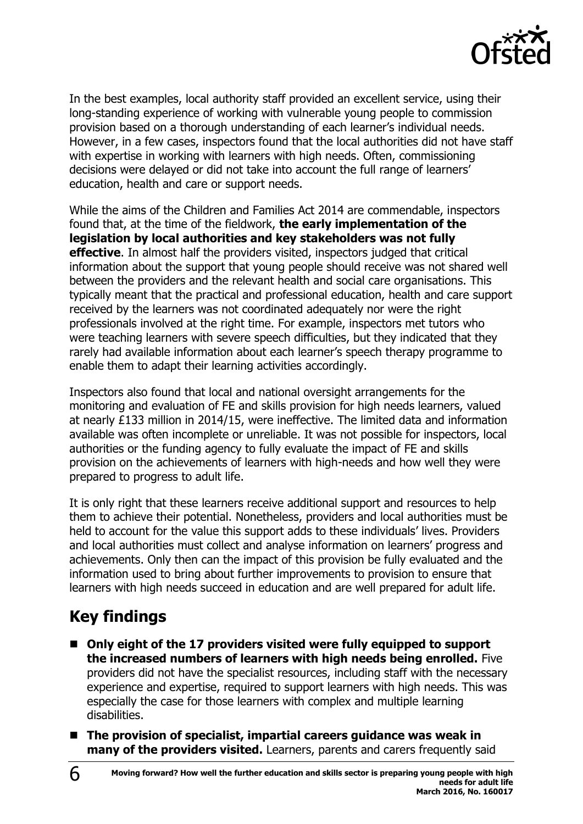

In the best examples, local authority staff provided an excellent service, using their long-standing experience of working with vulnerable young people to commission provision based on a thorough understanding of each learner's individual needs. However, in a few cases, inspectors found that the local authorities did not have staff with expertise in working with learners with high needs. Often, commissioning decisions were delayed or did not take into account the full range of learners' education, health and care or support needs.

While the aims of the Children and Families Act 2014 are commendable, inspectors found that, at the time of the fieldwork, **the early implementation of the legislation by local authorities and key stakeholders was not fully effective**. In almost half the providers visited, inspectors judged that critical information about the support that young people should receive was not shared well between the providers and the relevant health and social care organisations. This typically meant that the practical and professional education, health and care support received by the learners was not coordinated adequately nor were the right professionals involved at the right time. For example, inspectors met tutors who were teaching learners with severe speech difficulties, but they indicated that they rarely had available information about each learner's speech therapy programme to enable them to adapt their learning activities accordingly.

Inspectors also found that local and national oversight arrangements for the monitoring and evaluation of FE and skills provision for high needs learners, valued at nearly £133 million in 2014/15, were ineffective. The limited data and information available was often incomplete or unreliable. It was not possible for inspectors, local authorities or the funding agency to fully evaluate the impact of FE and skills provision on the achievements of learners with high-needs and how well they were prepared to progress to adult life.

It is only right that these learners receive additional support and resources to help them to achieve their potential. Nonetheless, providers and local authorities must be held to account for the value this support adds to these individuals' lives. Providers and local authorities must collect and analyse information on learners' progress and achievements. Only then can the impact of this provision be fully evaluated and the information used to bring about further improvements to provision to ensure that learners with high needs succeed in education and are well prepared for adult life.

# <span id="page-5-0"></span>**Key findings**

- Only eight of the 17 providers visited were fully equipped to support **the increased numbers of learners with high needs being enrolled.** Five providers did not have the specialist resources, including staff with the necessary experience and expertise, required to support learners with high needs. This was especially the case for those learners with complex and multiple learning disabilities.
- **The provision of specialist, impartial careers guidance was weak in many of the providers visited.** Learners, parents and carers frequently said

6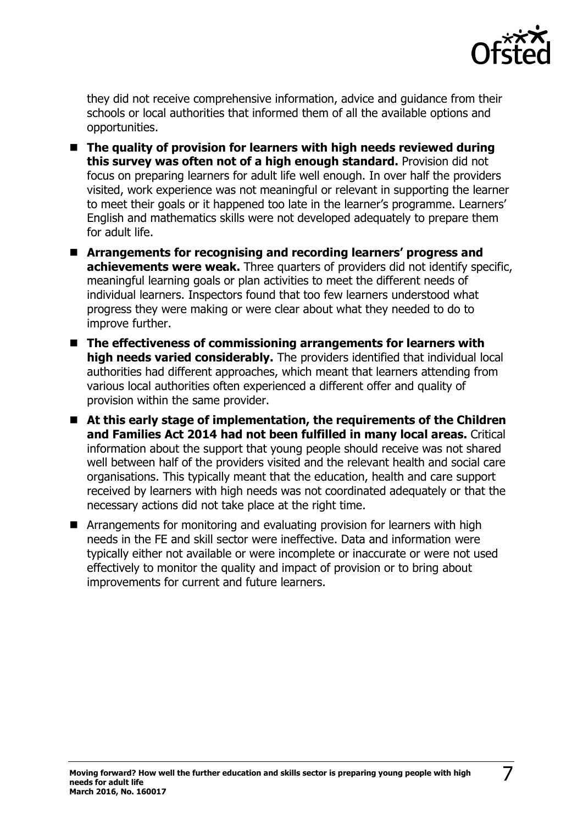

they did not receive comprehensive information, advice and guidance from their schools or local authorities that informed them of all the available options and opportunities.

- The quality of provision for learners with high needs reviewed during **this survey was often not of a high enough standard.** Provision did not focus on preparing learners for adult life well enough. In over half the providers visited, work experience was not meaningful or relevant in supporting the learner to meet their goals or it happened too late in the learner's programme. Learners' English and mathematics skills were not developed adequately to prepare them for adult life.
- **Arrangements for recognising and recording learners' progress and achievements were weak.** Three quarters of providers did not identify specific, meaningful learning goals or plan activities to meet the different needs of individual learners. Inspectors found that too few learners understood what progress they were making or were clear about what they needed to do to improve further.
- The effectiveness of commissioning arrangements for learners with **high needs varied considerably.** The providers identified that individual local authorities had different approaches, which meant that learners attending from various local authorities often experienced a different offer and quality of provision within the same provider.
- **At this early stage of implementation, the requirements of the Children and Families Act 2014 had not been fulfilled in many local areas.** Critical information about the support that young people should receive was not shared well between half of the providers visited and the relevant health and social care organisations. This typically meant that the education, health and care support received by learners with high needs was not coordinated adequately or that the necessary actions did not take place at the right time.
- **E** Arrangements for monitoring and evaluating provision for learners with high needs in the FE and skill sector were ineffective. Data and information were typically either not available or were incomplete or inaccurate or were not used effectively to monitor the quality and impact of provision or to bring about improvements for current and future learners.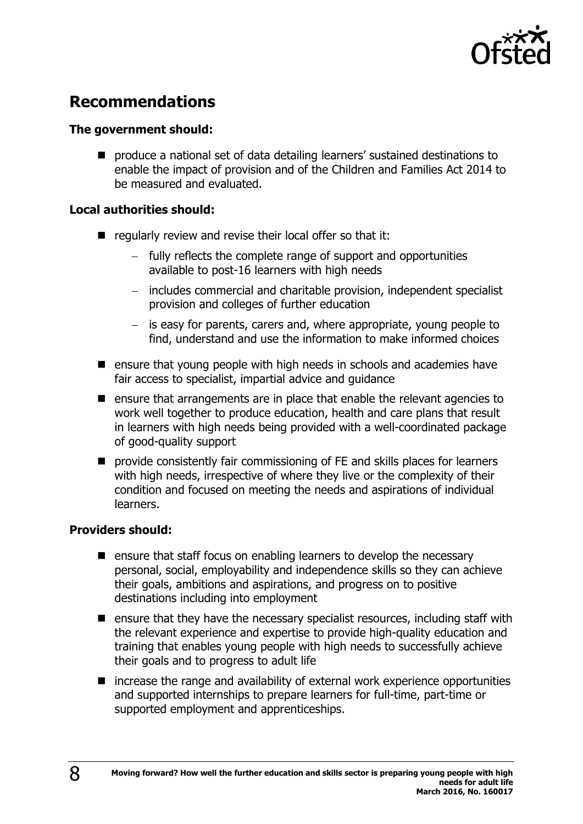

# <span id="page-7-0"></span>**Recommendations**

#### **The government should:**

**P** produce a national set of data detailing learners' sustained destinations to enable the impact of provision and of the Children and Families Act 2014 to be measured and evaluated.

#### **Local authorities should:**

- regularly review and revise their local offer so that it:
	- fully reflects the complete range of support and opportunities available to post-16 learners with high needs
	- includes commercial and charitable provision, independent specialist provision and colleges of further education
	- $-$  is easy for parents, carers and, where appropriate, young people to find, understand and use the information to make informed choices
- ensure that young people with high needs in schools and academies have fair access to specialist, impartial advice and guidance
- $\blacksquare$  ensure that arrangements are in place that enable the relevant agencies to work well together to produce education, health and care plans that result in learners with high needs being provided with a well-coordinated package of good-quality support
- **P** provide consistently fair commissioning of FE and skills places for learners with high needs, irrespective of where they live or the complexity of their condition and focused on meeting the needs and aspirations of individual learners.

#### **Providers should:**

- $\blacksquare$  ensure that staff focus on enabling learners to develop the necessary personal, social, employability and independence skills so they can achieve their goals, ambitions and aspirations, and progress on to positive destinations including into employment
- $\blacksquare$  ensure that they have the necessary specialist resources, including staff with the relevant experience and expertise to provide high-quality education and training that enables young people with high needs to successfully achieve their goals and to progress to adult life
- increase the range and availability of external work experience opportunities and supported internships to prepare learners for full-time, part-time or supported employment and apprenticeships.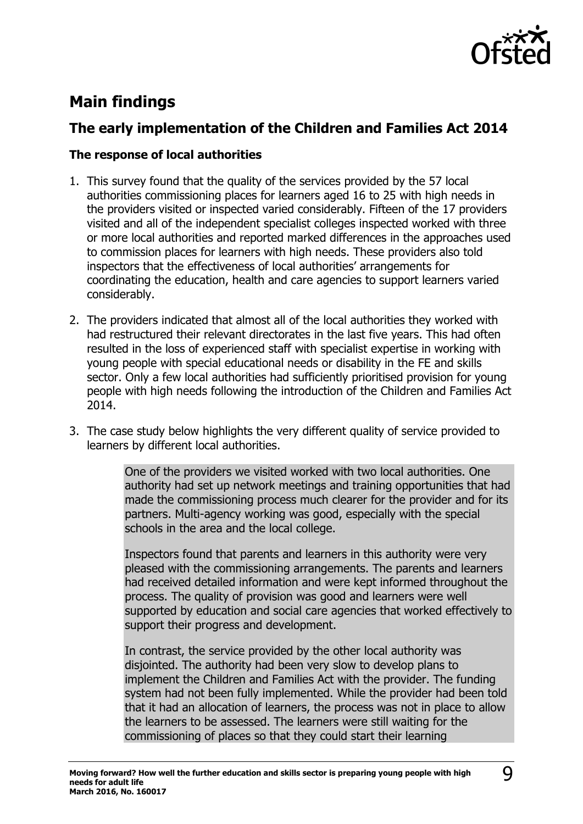

# <span id="page-8-0"></span>**Main findings**

### <span id="page-8-1"></span>**The early implementation of the Children and Families Act 2014**

#### **The response of local authorities**

- 1. This survey found that the quality of the services provided by the 57 local authorities commissioning places for learners aged 16 to 25 with high needs in the providers visited or inspected varied considerably. Fifteen of the 17 providers visited and all of the independent specialist colleges inspected worked with three or more local authorities and reported marked differences in the approaches used to commission places for learners with high needs. These providers also told inspectors that the effectiveness of local authorities' arrangements for coordinating the education, health and care agencies to support learners varied considerably.
- 2. The providers indicated that almost all of the local authorities they worked with had restructured their relevant directorates in the last five years. This had often resulted in the loss of experienced staff with specialist expertise in working with young people with special educational needs or disability in the FE and skills sector. Only a few local authorities had sufficiently prioritised provision for young people with high needs following the introduction of the Children and Families Act 2014.
- 3. The case study below highlights the very different quality of service provided to learners by different local authorities.

One of the providers we visited worked with two local authorities. One authority had set up network meetings and training opportunities that had made the commissioning process much clearer for the provider and for its partners. Multi-agency working was good, especially with the special schools in the area and the local college.

Inspectors found that parents and learners in this authority were very pleased with the commissioning arrangements. The parents and learners had received detailed information and were kept informed throughout the process. The quality of provision was good and learners were well supported by education and social care agencies that worked effectively to support their progress and development.

In contrast, the service provided by the other local authority was disjointed. The authority had been very slow to develop plans to implement the Children and Families Act with the provider. The funding system had not been fully implemented. While the provider had been told that it had an allocation of learners, the process was not in place to allow the learners to be assessed. The learners were still waiting for the commissioning of places so that they could start their learning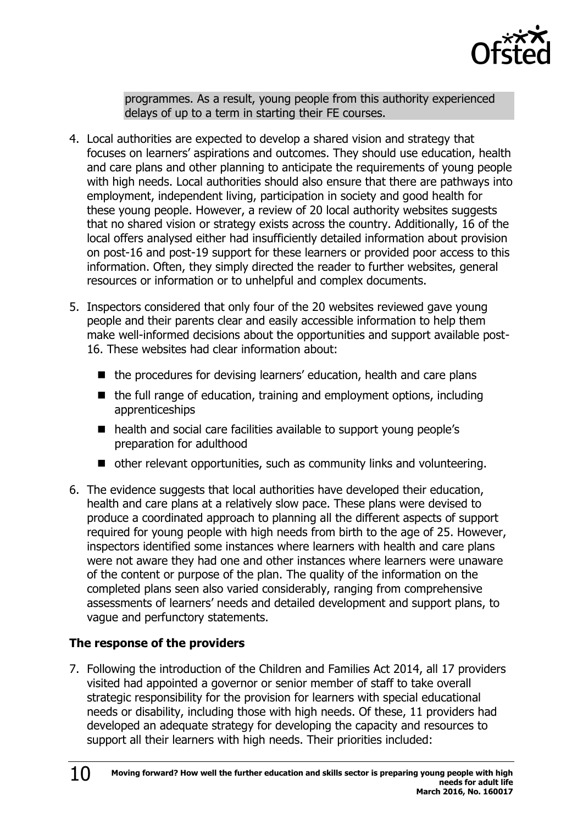

programmes. As a result, young people from this authority experienced delays of up to a term in starting their FE courses.

- 4. Local authorities are expected to develop a shared vision and strategy that focuses on learners' aspirations and outcomes. They should use education, health and care plans and other planning to anticipate the requirements of young people with high needs. Local authorities should also ensure that there are pathways into employment, independent living, participation in society and good health for these young people. However, a review of 20 local authority websites suggests that no shared vision or strategy exists across the country. Additionally, 16 of the local offers analysed either had insufficiently detailed information about provision on post-16 and post-19 support for these learners or provided poor access to this information. Often, they simply directed the reader to further websites, general resources or information or to unhelpful and complex documents.
- 5. Inspectors considered that only four of the 20 websites reviewed gave young people and their parents clear and easily accessible information to help them make well-informed decisions about the opportunities and support available post-16. These websites had clear information about:
	- the procedures for devising learners' education, health and care plans
	- $\blacksquare$  the full range of education, training and employment options, including apprenticeships
	- health and social care facilities available to support young people's preparation for adulthood
	- other relevant opportunities, such as community links and volunteering.
- 6. The evidence suggests that local authorities have developed their education, health and care plans at a relatively slow pace. These plans were devised to produce a coordinated approach to planning all the different aspects of support required for young people with high needs from birth to the age of 25. However, inspectors identified some instances where learners with health and care plans were not aware they had one and other instances where learners were unaware of the content or purpose of the plan. The quality of the information on the completed plans seen also varied considerably, ranging from comprehensive assessments of learners' needs and detailed development and support plans, to vague and perfunctory statements.

#### **The response of the providers**

7. Following the introduction of the Children and Families Act 2014, all 17 providers visited had appointed a governor or senior member of staff to take overall strategic responsibility for the provision for learners with special educational needs or disability, including those with high needs. Of these, 11 providers had developed an adequate strategy for developing the capacity and resources to support all their learners with high needs. Their priorities included: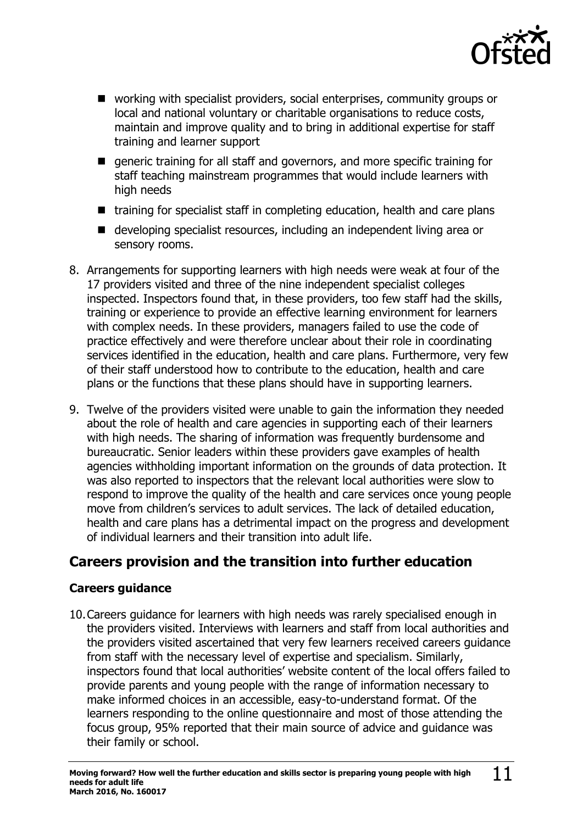

- working with specialist providers, social enterprises, community groups or local and national voluntary or charitable organisations to reduce costs, maintain and improve quality and to bring in additional expertise for staff training and learner support
- **E** generic training for all staff and governors, and more specific training for staff teaching mainstream programmes that would include learners with high needs
- training for specialist staff in completing education, health and care plans
- developing specialist resources, including an independent living area or sensory rooms.
- 8. Arrangements for supporting learners with high needs were weak at four of the 17 providers visited and three of the nine independent specialist colleges inspected. Inspectors found that, in these providers, too few staff had the skills, training or experience to provide an effective learning environment for learners with complex needs. In these providers, managers failed to use the code of practice effectively and were therefore unclear about their role in coordinating services identified in the education, health and care plans. Furthermore, very few of their staff understood how to contribute to the education, health and care plans or the functions that these plans should have in supporting learners.
- 9. Twelve of the providers visited were unable to gain the information they needed about the role of health and care agencies in supporting each of their learners with high needs. The sharing of information was frequently burdensome and bureaucratic. Senior leaders within these providers gave examples of health agencies withholding important information on the grounds of data protection. It was also reported to inspectors that the relevant local authorities were slow to respond to improve the quality of the health and care services once young people move from children's services to adult services. The lack of detailed education, health and care plans has a detrimental impact on the progress and development of individual learners and their transition into adult life.

### <span id="page-10-0"></span>**Careers provision and the transition into further education**

#### **Careers guidance**

10.Careers guidance for learners with high needs was rarely specialised enough in the providers visited. Interviews with learners and staff from local authorities and the providers visited ascertained that very few learners received careers guidance from staff with the necessary level of expertise and specialism. Similarly, inspectors found that local authorities' website content of the local offers failed to provide parents and young people with the range of information necessary to make informed choices in an accessible, easy-to-understand format. Of the learners responding to the online questionnaire and most of those attending the focus group, 95% reported that their main source of advice and guidance was their family or school.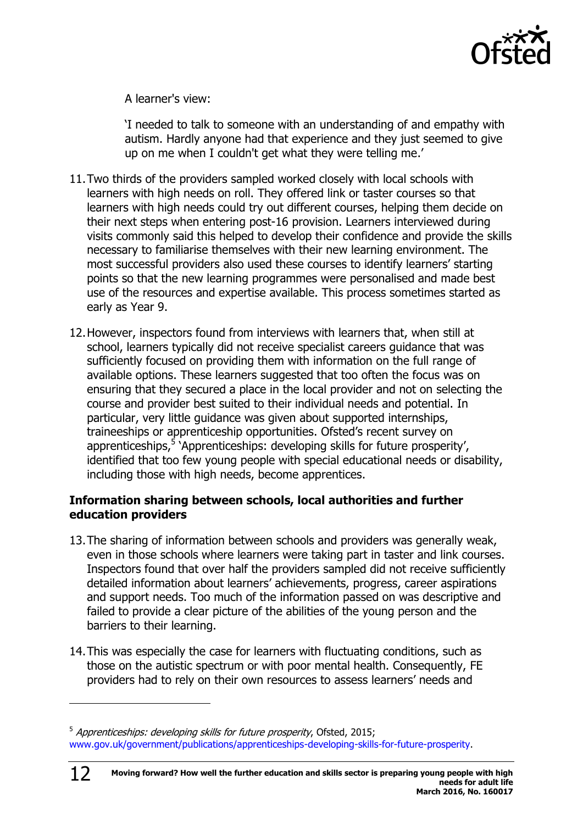

A learner's view:

'I needed to talk to someone with an understanding of and empathy with autism. Hardly anyone had that experience and they just seemed to give up on me when I couldn't get what they were telling me.'

- 11.Two thirds of the providers sampled worked closely with local schools with learners with high needs on roll. They offered link or taster courses so that learners with high needs could try out different courses, helping them decide on their next steps when entering post-16 provision. Learners interviewed during visits commonly said this helped to develop their confidence and provide the skills necessary to familiarise themselves with their new learning environment. The most successful providers also used these courses to identify learners' starting points so that the new learning programmes were personalised and made best use of the resources and expertise available. This process sometimes started as early as Year 9.
- 12.However, inspectors found from interviews with learners that, when still at school, learners typically did not receive specialist careers guidance that was sufficiently focused on providing them with information on the full range of available options. These learners suggested that too often the focus was on ensuring that they secured a place in the local provider and not on selecting the course and provider best suited to their individual needs and potential. In particular, very little guidance was given about supported internships, traineeships or apprenticeship opportunities. Ofsted's recent survey on apprenticeships,<sup>5</sup> `Apprenticeships: developing skills for future prosperity', identified that too few young people with special educational needs or disability, including those with high needs, become apprentices.

#### **Information sharing between schools, local authorities and further education providers**

- 13.The sharing of information between schools and providers was generally weak, even in those schools where learners were taking part in taster and link courses. Inspectors found that over half the providers sampled did not receive sufficiently detailed information about learners' achievements, progress, career aspirations and support needs. Too much of the information passed on was descriptive and failed to provide a clear picture of the abilities of the young person and the barriers to their learning.
- 14.This was especially the case for learners with fluctuating conditions, such as those on the autistic spectrum or with poor mental health. Consequently, FE providers had to rely on their own resources to assess learners' needs and

<sup>&</sup>lt;sup>5</sup> Apprenticeships: developing skills for future prosperity, Ofsted, 2015; [www.gov.uk/government/publications/apprenticeships-developing-skills-for-future-prosperity.](http://www.gov.uk/government/publications/apprenticeships-developing-skills-for-future-prosperity)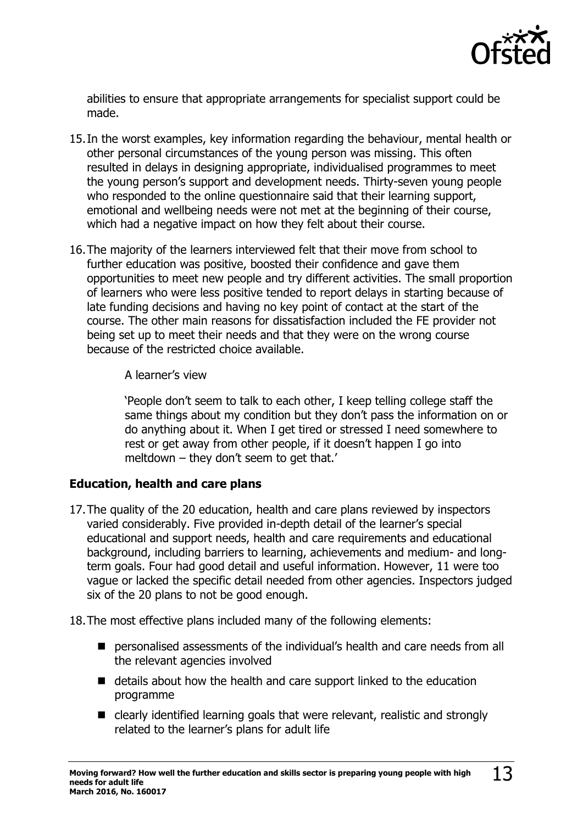

abilities to ensure that appropriate arrangements for specialist support could be made.

- 15.In the worst examples, key information regarding the behaviour, mental health or other personal circumstances of the young person was missing. This often resulted in delays in designing appropriate, individualised programmes to meet the young person's support and development needs. Thirty-seven young people who responded to the online questionnaire said that their learning support, emotional and wellbeing needs were not met at the beginning of their course, which had a negative impact on how they felt about their course.
- 16.The majority of the learners interviewed felt that their move from school to further education was positive, boosted their confidence and gave them opportunities to meet new people and try different activities. The small proportion of learners who were less positive tended to report delays in starting because of late funding decisions and having no key point of contact at the start of the course. The other main reasons for dissatisfaction included the FE provider not being set up to meet their needs and that they were on the wrong course because of the restricted choice available.

#### A learner's view

'People don't seem to talk to each other, I keep telling college staff the same things about my condition but they don't pass the information on or do anything about it. When I get tired or stressed I need somewhere to rest or get away from other people, if it doesn't happen I go into meltdown – they don't seem to get that.'

#### **Education, health and care plans**

17.The quality of the 20 education, health and care plans reviewed by inspectors varied considerably. Five provided in-depth detail of the learner's special educational and support needs, health and care requirements and educational background, including barriers to learning, achievements and medium- and longterm goals. Four had good detail and useful information. However, 11 were too vague or lacked the specific detail needed from other agencies. Inspectors judged six of the 20 plans to not be good enough.

18.The most effective plans included many of the following elements:

- **Personalised assessments of the individual's health and care needs from all** the relevant agencies involved
- $\blacksquare$  details about how the health and care support linked to the education programme
- clearly identified learning goals that were relevant, realistic and strongly related to the learner's plans for adult life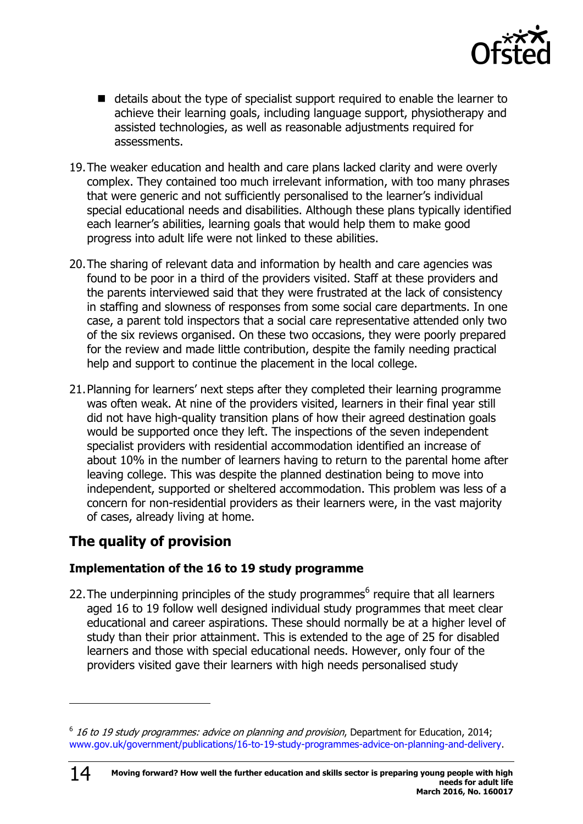

- details about the type of specialist support required to enable the learner to achieve their learning goals, including language support, physiotherapy and assisted technologies, as well as reasonable adjustments required for assessments.
- 19.The weaker education and health and care plans lacked clarity and were overly complex. They contained too much irrelevant information, with too many phrases that were generic and not sufficiently personalised to the learner's individual special educational needs and disabilities. Although these plans typically identified each learner's abilities, learning goals that would help them to make good progress into adult life were not linked to these abilities.
- 20.The sharing of relevant data and information by health and care agencies was found to be poor in a third of the providers visited. Staff at these providers and the parents interviewed said that they were frustrated at the lack of consistency in staffing and slowness of responses from some social care departments. In one case, a parent told inspectors that a social care representative attended only two of the six reviews organised. On these two occasions, they were poorly prepared for the review and made little contribution, despite the family needing practical help and support to continue the placement in the local college.
- 21.Planning for learners' next steps after they completed their learning programme was often weak. At nine of the providers visited, learners in their final year still did not have high-quality transition plans of how their agreed destination goals would be supported once they left. The inspections of the seven independent specialist providers with residential accommodation identified an increase of about 10% in the number of learners having to return to the parental home after leaving college. This was despite the planned destination being to move into independent, supported or sheltered accommodation. This problem was less of a concern for non-residential providers as their learners were, in the vast majority of cases, already living at home.

### <span id="page-13-0"></span>**The quality of provision**

14

j

#### **Implementation of the 16 to 19 study programme**

22. The underpinning principles of the study programmes $<sup>6</sup>$  require that all learners</sup> aged 16 to 19 follow well designed individual study programmes that meet clear educational and career aspirations. These should normally be at a higher level of study than their prior attainment. This is extended to the age of 25 for disabled learners and those with special educational needs. However, only four of the providers visited gave their learners with high needs personalised study

 $6$  16 to 19 study programmes: advice on planning and provision, Department for Education, 2014; [www.gov.uk/government/publications/16-to-19-study-programmes-advice-on-planning-and-delivery.](http://www.gov.uk/government/publications/16-to-19-study-programmes-advice-on-planning-and-delivery)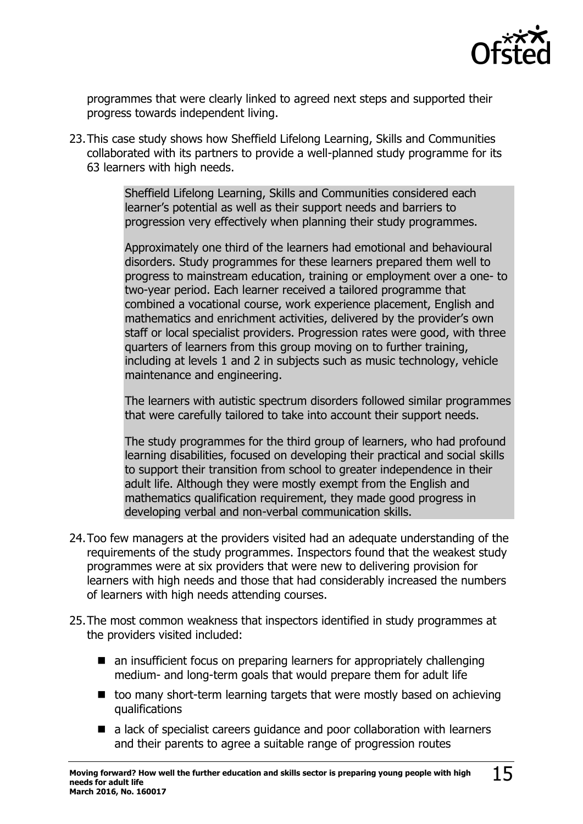

programmes that were clearly linked to agreed next steps and supported their progress towards independent living.

23.This case study shows how Sheffield Lifelong Learning, Skills and Communities collaborated with its partners to provide a well-planned study programme for its 63 learners with high needs.

> Sheffield Lifelong Learning, Skills and Communities considered each learner's potential as well as their support needs and barriers to progression very effectively when planning their study programmes.

Approximately one third of the learners had emotional and behavioural disorders. Study programmes for these learners prepared them well to progress to mainstream education, training or employment over a one- to two-year period. Each learner received a tailored programme that combined a vocational course, work experience placement, English and mathematics and enrichment activities, delivered by the provider's own staff or local specialist providers. Progression rates were good, with three quarters of learners from this group moving on to further training, including at levels 1 and 2 in subjects such as music technology, vehicle maintenance and engineering.

The learners with autistic spectrum disorders followed similar programmes that were carefully tailored to take into account their support needs.

The study programmes for the third group of learners, who had profound learning disabilities, focused on developing their practical and social skills to support their transition from school to greater independence in their adult life. Although they were mostly exempt from the English and mathematics qualification requirement, they made good progress in developing verbal and non-verbal communication skills.

- 24.Too few managers at the providers visited had an adequate understanding of the requirements of the study programmes. Inspectors found that the weakest study programmes were at six providers that were new to delivering provision for learners with high needs and those that had considerably increased the numbers of learners with high needs attending courses.
- 25.The most common weakness that inspectors identified in study programmes at the providers visited included:
	- an insufficient focus on preparing learners for appropriately challenging medium- and long-term goals that would prepare them for adult life
	- $\blacksquare$  too many short-term learning targets that were mostly based on achieving qualifications
	- a lack of specialist careers quidance and poor collaboration with learners and their parents to agree a suitable range of progression routes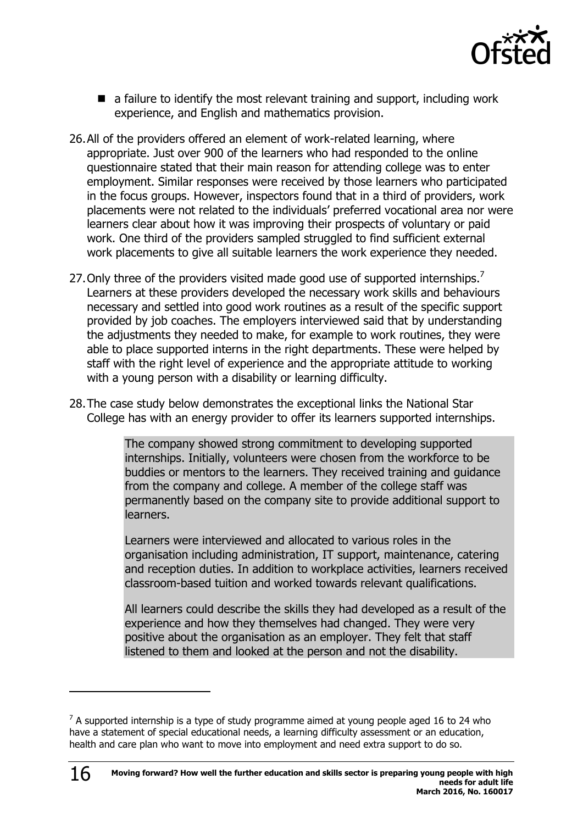

- $\blacksquare$  a failure to identify the most relevant training and support, including work experience, and English and mathematics provision.
- 26.All of the providers offered an element of work-related learning, where appropriate. Just over 900 of the learners who had responded to the online questionnaire stated that their main reason for attending college was to enter employment. Similar responses were received by those learners who participated in the focus groups. However, inspectors found that in a third of providers, work placements were not related to the individuals' preferred vocational area nor were learners clear about how it was improving their prospects of voluntary or paid work. One third of the providers sampled struggled to find sufficient external work placements to give all suitable learners the work experience they needed.
- 27. Only three of the providers visited made good use of supported internships.<sup>7</sup> Learners at these providers developed the necessary work skills and behaviours necessary and settled into good work routines as a result of the specific support provided by job coaches. The employers interviewed said that by understanding the adjustments they needed to make, for example to work routines, they were able to place supported interns in the right departments. These were helped by staff with the right level of experience and the appropriate attitude to working with a young person with a disability or learning difficulty.
- 28.The case study below demonstrates the exceptional links the National Star College has with an energy provider to offer its learners supported internships.

The company showed strong commitment to developing supported internships. Initially, volunteers were chosen from the workforce to be buddies or mentors to the learners. They received training and guidance from the company and college. A member of the college staff was permanently based on the company site to provide additional support to learners.

Learners were interviewed and allocated to various roles in the organisation including administration, IT support, maintenance, catering and reception duties. In addition to workplace activities, learners received classroom-based tuition and worked towards relevant qualifications.

All learners could describe the skills they had developed as a result of the experience and how they themselves had changed. They were very positive about the organisation as an employer. They felt that staff listened to them and looked at the person and not the disability.

 $\overline{a}$ 

 $7$  A supported internship is a type of study programme aimed at young people aged 16 to 24 who have a statement of special educational needs, a learning difficulty assessment or an education, health and care plan who want to move into employment and need extra support to do so.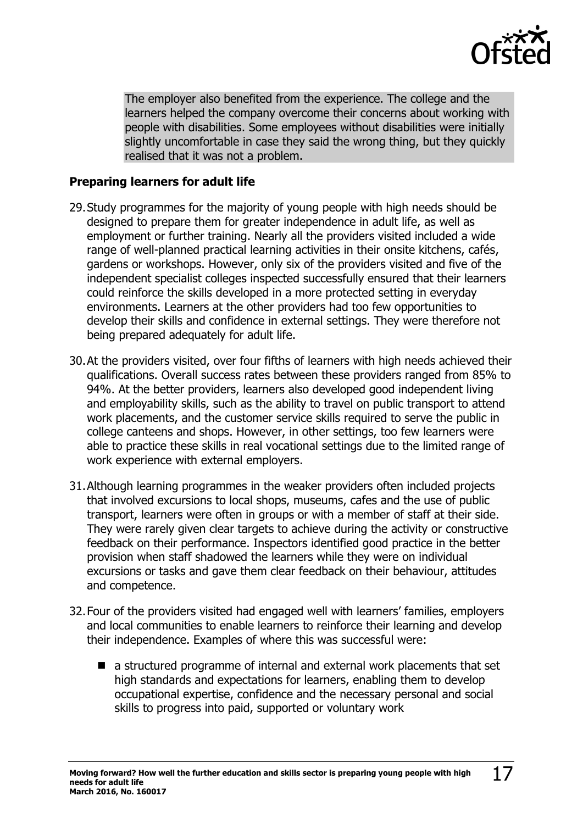

The employer also benefited from the experience. The college and the learners helped the company overcome their concerns about working with people with disabilities. Some employees without disabilities were initially slightly uncomfortable in case they said the wrong thing, but they quickly realised that it was not a problem.

#### **Preparing learners for adult life**

- 29.Study programmes for the majority of young people with high needs should be designed to prepare them for greater independence in adult life, as well as employment or further training. Nearly all the providers visited included a wide range of well-planned practical learning activities in their onsite kitchens, cafés, gardens or workshops. However, only six of the providers visited and five of the independent specialist colleges inspected successfully ensured that their learners could reinforce the skills developed in a more protected setting in everyday environments. Learners at the other providers had too few opportunities to develop their skills and confidence in external settings. They were therefore not being prepared adequately for adult life.
- 30.At the providers visited, over four fifths of learners with high needs achieved their qualifications. Overall success rates between these providers ranged from 85% to 94%. At the better providers, learners also developed good independent living and employability skills, such as the ability to travel on public transport to attend work placements, and the customer service skills required to serve the public in college canteens and shops. However, in other settings, too few learners were able to practice these skills in real vocational settings due to the limited range of work experience with external employers.
- 31.Although learning programmes in the weaker providers often included projects that involved excursions to local shops, museums, cafes and the use of public transport, learners were often in groups or with a member of staff at their side. They were rarely given clear targets to achieve during the activity or constructive feedback on their performance. Inspectors identified good practice in the better provision when staff shadowed the learners while they were on individual excursions or tasks and gave them clear feedback on their behaviour, attitudes and competence.
- 32.Four of the providers visited had engaged well with learners' families, employers and local communities to enable learners to reinforce their learning and develop their independence. Examples of where this was successful were:
	- a structured programme of internal and external work placements that set high standards and expectations for learners, enabling them to develop occupational expertise, confidence and the necessary personal and social skills to progress into paid, supported or voluntary work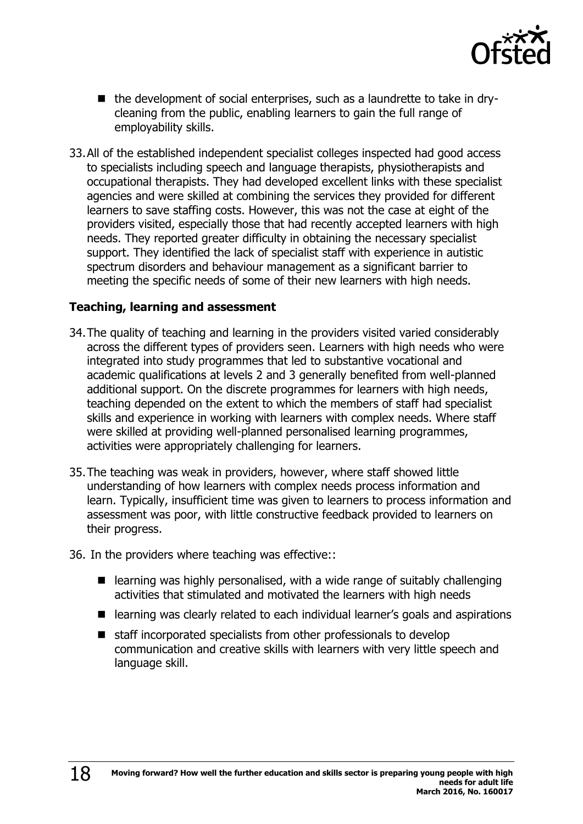

- the development of social enterprises, such as a laundrette to take in drycleaning from the public, enabling learners to gain the full range of employability skills.
- 33.All of the established independent specialist colleges inspected had good access to specialists including speech and language therapists, physiotherapists and occupational therapists. They had developed excellent links with these specialist agencies and were skilled at combining the services they provided for different learners to save staffing costs. However, this was not the case at eight of the providers visited, especially those that had recently accepted learners with high needs. They reported greater difficulty in obtaining the necessary specialist support. They identified the lack of specialist staff with experience in autistic spectrum disorders and behaviour management as a significant barrier to meeting the specific needs of some of their new learners with high needs.

#### **Teaching, learning and assessment**

- 34.The quality of teaching and learning in the providers visited varied considerably across the different types of providers seen. Learners with high needs who were integrated into study programmes that led to substantive vocational and academic qualifications at levels 2 and 3 generally benefited from well-planned additional support. On the discrete programmes for learners with high needs, teaching depended on the extent to which the members of staff had specialist skills and experience in working with learners with complex needs. Where staff were skilled at providing well-planned personalised learning programmes, activities were appropriately challenging for learners.
- 35.The teaching was weak in providers, however, where staff showed little understanding of how learners with complex needs process information and learn. Typically, insufficient time was given to learners to process information and assessment was poor, with little constructive feedback provided to learners on their progress.
- 36. In the providers where teaching was effective::
	- $\blacksquare$  learning was highly personalised, with a wide range of suitably challenging activities that stimulated and motivated the learners with high needs
	- learning was clearly related to each individual learner's goals and aspirations
	- $\blacksquare$  staff incorporated specialists from other professionals to develop communication and creative skills with learners with very little speech and language skill.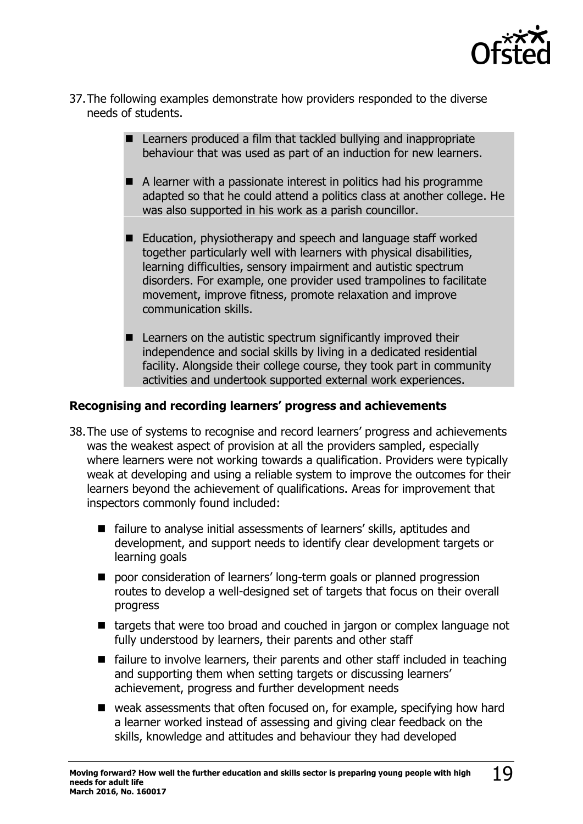

- 37.The following examples demonstrate how providers responded to the diverse needs of students.
	- Learners produced a film that tackled bullying and inappropriate behaviour that was used as part of an induction for new learners.
	- A learner with a passionate interest in politics had his programme adapted so that he could attend a politics class at another college. He was also supported in his work as a parish councillor.
	- Education, physiotherapy and speech and language staff worked together particularly well with learners with physical disabilities, learning difficulties, sensory impairment and autistic spectrum disorders. For example, one provider used trampolines to facilitate movement, improve fitness, promote relaxation and improve communication skills.
	- $\blacksquare$  Learners on the autistic spectrum significantly improved their independence and social skills by living in a dedicated residential facility. Alongside their college course, they took part in community activities and undertook supported external work experiences.

#### **Recognising and recording learners' progress and achievements**

- 38.The use of systems to recognise and record learners' progress and achievements was the weakest aspect of provision at all the providers sampled, especially where learners were not working towards a qualification. Providers were typically weak at developing and using a reliable system to improve the outcomes for their learners beyond the achievement of qualifications. Areas for improvement that inspectors commonly found included:
	- failure to analyse initial assessments of learners' skills, aptitudes and development, and support needs to identify clear development targets or learning goals
	- poor consideration of learners' long-term goals or planned progression routes to develop a well-designed set of targets that focus on their overall progress
	- targets that were too broad and couched in jargon or complex language not fully understood by learners, their parents and other staff
	- failure to involve learners, their parents and other staff included in teaching and supporting them when setting targets or discussing learners' achievement, progress and further development needs
	- weak assessments that often focused on, for example, specifying how hard a learner worked instead of assessing and giving clear feedback on the skills, knowledge and attitudes and behaviour they had developed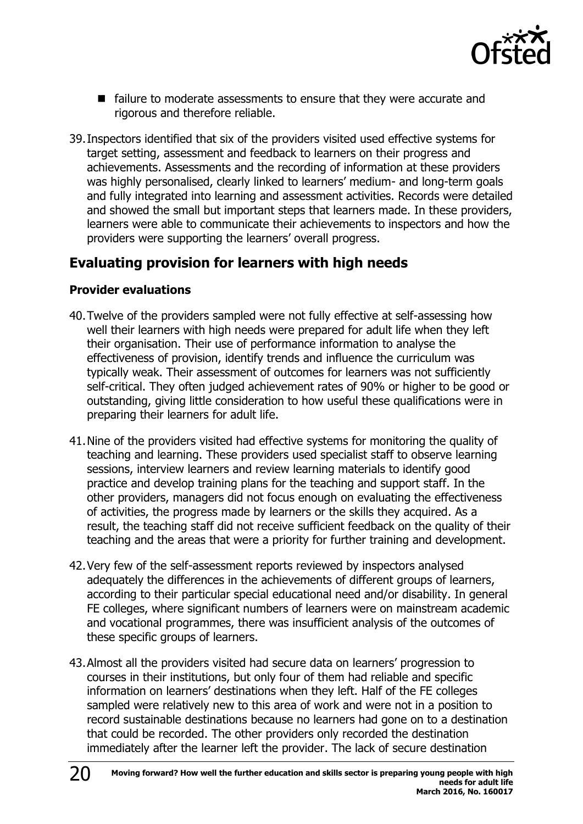

- failure to moderate assessments to ensure that they were accurate and rigorous and therefore reliable.
- 39.Inspectors identified that six of the providers visited used effective systems for target setting, assessment and feedback to learners on their progress and achievements. Assessments and the recording of information at these providers was highly personalised, clearly linked to learners' medium- and long-term goals and fully integrated into learning and assessment activities. Records were detailed and showed the small but important steps that learners made. In these providers, learners were able to communicate their achievements to inspectors and how the providers were supporting the learners' overall progress.

### <span id="page-19-0"></span>**Evaluating provision for learners with high needs**

#### **Provider evaluations**

- 40.Twelve of the providers sampled were not fully effective at self-assessing how well their learners with high needs were prepared for adult life when they left their organisation. Their use of performance information to analyse the effectiveness of provision, identify trends and influence the curriculum was typically weak. Their assessment of outcomes for learners was not sufficiently self-critical. They often judged achievement rates of 90% or higher to be good or outstanding, giving little consideration to how useful these qualifications were in preparing their learners for adult life.
- 41.Nine of the providers visited had effective systems for monitoring the quality of teaching and learning. These providers used specialist staff to observe learning sessions, interview learners and review learning materials to identify good practice and develop training plans for the teaching and support staff. In the other providers, managers did not focus enough on evaluating the effectiveness of activities, the progress made by learners or the skills they acquired. As a result, the teaching staff did not receive sufficient feedback on the quality of their teaching and the areas that were a priority for further training and development.
- 42.Very few of the self-assessment reports reviewed by inspectors analysed adequately the differences in the achievements of different groups of learners, according to their particular special educational need and/or disability. In general FE colleges, where significant numbers of learners were on mainstream academic and vocational programmes, there was insufficient analysis of the outcomes of these specific groups of learners.
- 43.Almost all the providers visited had secure data on learners' progression to courses in their institutions, but only four of them had reliable and specific information on learners' destinations when they left. Half of the FE colleges sampled were relatively new to this area of work and were not in a position to record sustainable destinations because no learners had gone on to a destination that could be recorded. The other providers only recorded the destination immediately after the learner left the provider. The lack of secure destination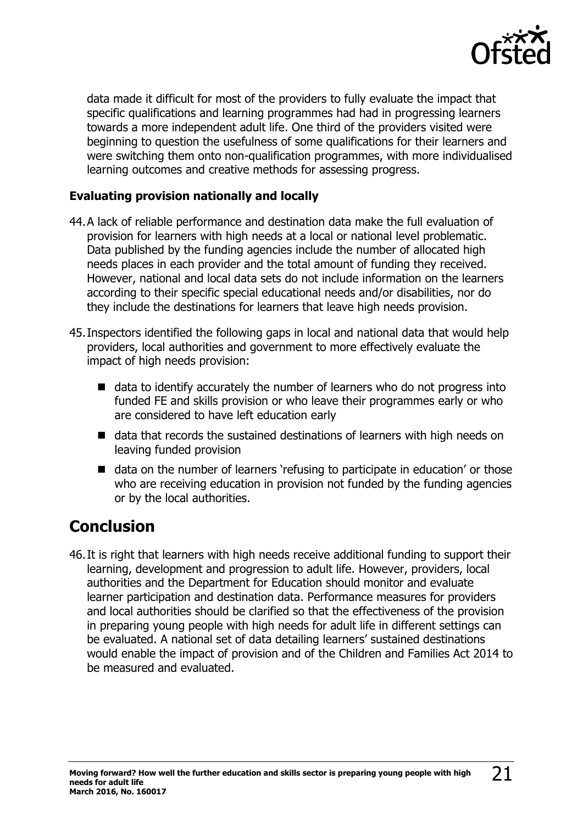

data made it difficult for most of the providers to fully evaluate the impact that specific qualifications and learning programmes had had in progressing learners towards a more independent adult life. One third of the providers visited were beginning to question the usefulness of some qualifications for their learners and were switching them onto non-qualification programmes, with more individualised learning outcomes and creative methods for assessing progress.

#### **Evaluating provision nationally and locally**

- 44.A lack of reliable performance and destination data make the full evaluation of provision for learners with high needs at a local or national level problematic. Data published by the funding agencies include the number of allocated high needs places in each provider and the total amount of funding they received. However, national and local data sets do not include information on the learners according to their specific special educational needs and/or disabilities, nor do they include the destinations for learners that leave high needs provision.
- 45.Inspectors identified the following gaps in local and national data that would help providers, local authorities and government to more effectively evaluate the impact of high needs provision:
	- data to identify accurately the number of learners who do not progress into funded FE and skills provision or who leave their programmes early or who are considered to have left education early
	- data that records the sustained destinations of learners with high needs on leaving funded provision
	- data on the number of learners 'refusing to participate in education' or those who are receiving education in provision not funded by the funding agencies or by the local authorities.

### <span id="page-20-0"></span>**Conclusion**

46.It is right that learners with high needs receive additional funding to support their learning, development and progression to adult life. However, providers, local authorities and the Department for Education should monitor and evaluate learner participation and destination data. Performance measures for providers and local authorities should be clarified so that the effectiveness of the provision in preparing young people with high needs for adult life in different settings can be evaluated. A national set of data detailing learners' sustained destinations would enable the impact of provision and of the Children and Families Act 2014 to be measured and evaluated.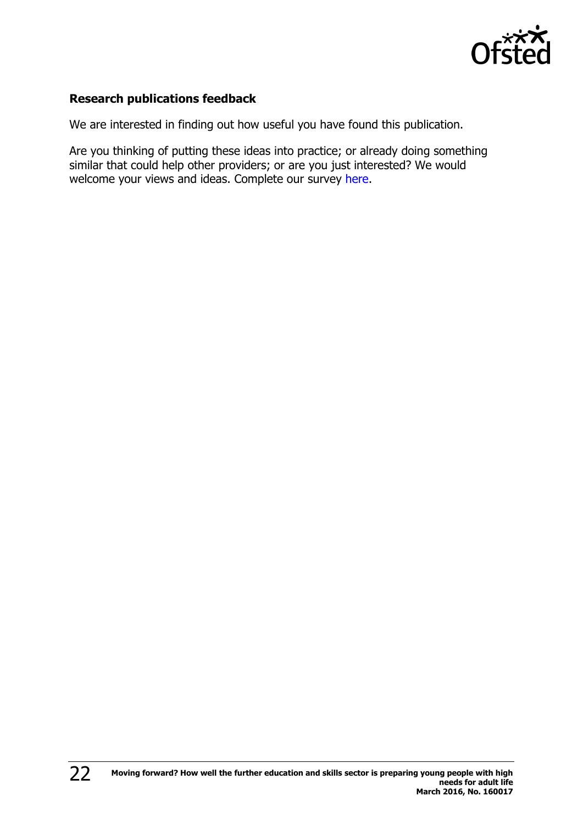

#### **Research publications feedback**

We are interested in finding out how useful you have found this publication.

Are you thinking of putting these ideas into practice; or already doing something similar that could help other providers; or are you just interested? We would welcome your views and ideas. Complete our survey [here.](https://www.surveymonkey.com/r/researchpublications)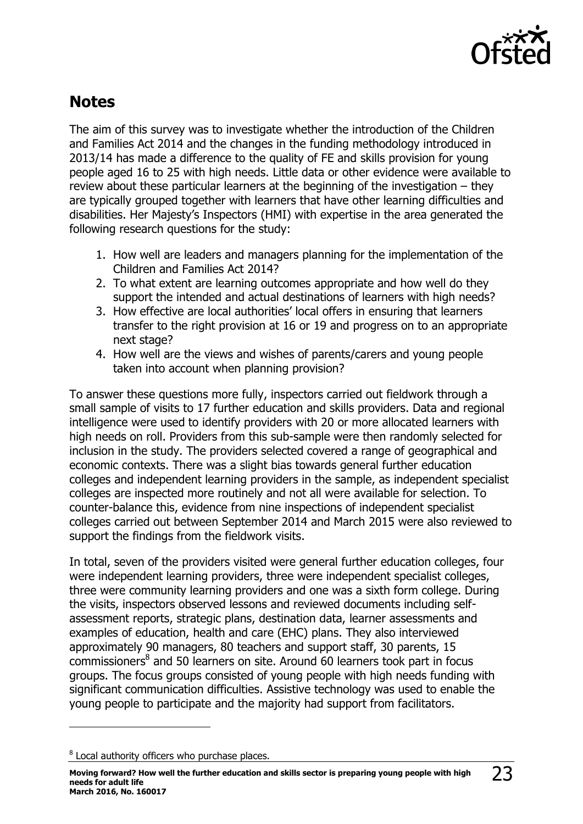

### <span id="page-22-0"></span>**Notes**

The aim of this survey was to investigate whether the introduction of the Children and Families Act 2014 and the changes in the funding methodology introduced in 2013/14 has made a difference to the quality of FE and skills provision for young people aged 16 to 25 with high needs. Little data or other evidence were available to review about these particular learners at the beginning of the investigation – they are typically grouped together with learners that have other learning difficulties and disabilities. Her Majesty's Inspectors (HMI) with expertise in the area generated the following research questions for the study:

- 1. How well are leaders and managers planning for the implementation of the Children and Families Act 2014?
- 2. To what extent are learning outcomes appropriate and how well do they support the intended and actual destinations of learners with high needs?
- 3. How effective are local authorities' local offers in ensuring that learners transfer to the right provision at 16 or 19 and progress on to an appropriate next stage?
- 4. How well are the views and wishes of parents/carers and young people taken into account when planning provision?

To answer these questions more fully, inspectors carried out fieldwork through a small sample of visits to 17 further education and skills providers. Data and regional intelligence were used to identify providers with 20 or more allocated learners with high needs on roll. Providers from this sub-sample were then randomly selected for inclusion in the study. The providers selected covered a range of geographical and economic contexts. There was a slight bias towards general further education colleges and independent learning providers in the sample, as independent specialist colleges are inspected more routinely and not all were available for selection. To counter-balance this, evidence from nine inspections of independent specialist colleges carried out between September 2014 and March 2015 were also reviewed to support the findings from the fieldwork visits.

In total, seven of the providers visited were general further education colleges, four were independent learning providers, three were independent specialist colleges, three were community learning providers and one was a sixth form college. During the visits, inspectors observed lessons and reviewed documents including selfassessment reports, strategic plans, destination data, learner assessments and examples of education, health and care (EHC) plans. They also interviewed approximately 90 managers, 80 teachers and support staff, 30 parents, 15 commissioners<sup>8</sup> and 50 learners on site. Around 60 learners took part in focus groups. The focus groups consisted of young people with high needs funding with significant communication difficulties. Assistive technology was used to enable the young people to participate and the majority had support from facilitators.

 $8$  Local authority officers who purchase places.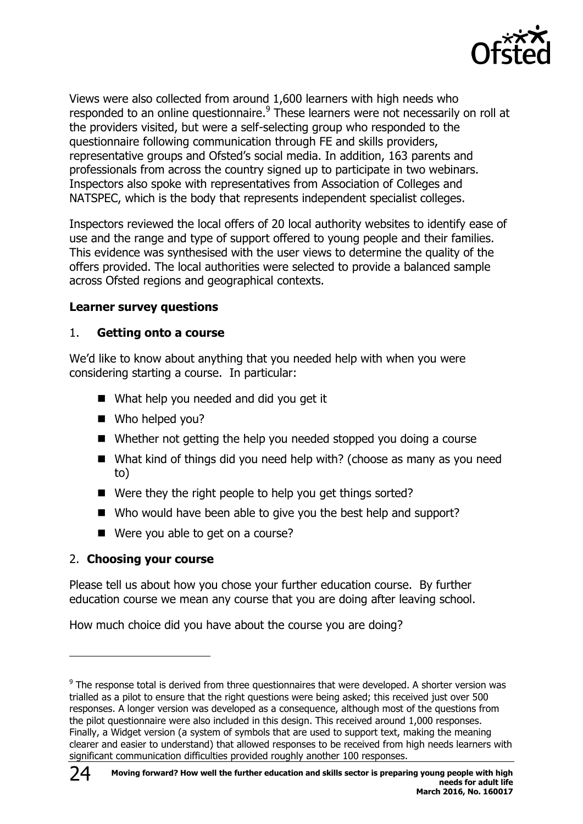

Views were also collected from around 1,600 learners with high needs who responded to an online questionnaire.<sup>9</sup> These learners were not necessarily on roll at the providers visited, but were a self-selecting group who responded to the questionnaire following communication through FE and skills providers, representative groups and Ofsted's social media. In addition, 163 parents and professionals from across the country signed up to participate in two webinars. Inspectors also spoke with representatives from Association of Colleges and NATSPEC, which is the body that represents independent specialist colleges.

Inspectors reviewed the local offers of 20 local authority websites to identify ease of use and the range and type of support offered to young people and their families. This evidence was synthesised with the user views to determine the quality of the offers provided. The local authorities were selected to provide a balanced sample across Ofsted regions and geographical contexts.

#### **Learner survey questions**

#### 1. **Getting onto a course**

We'd like to know about anything that you needed help with when you were considering starting a course. In particular:

- What help you needed and did you get it
- Who helped you?
- Whether not getting the help you needed stopped you doing a course
- What kind of things did you need help with? (choose as many as you need to)
- Were they the right people to help you get things sorted?
- Who would have been able to give you the best help and support?
- Were you able to get on a course?

#### 2. **Choosing your course**

Please tell us about how you chose your further education course. By further education course we mean any course that you are doing after leaving school.

How much choice did you have about the course you are doing?

 $9$  The response total is derived from three questionnaires that were developed. A shorter version was trialled as a pilot to ensure that the right questions were being asked; this received just over 500 responses. A longer version was developed as a consequence, although most of the questions from the pilot questionnaire were also included in this design. This received around 1,000 responses. Finally, a Widget version (a system of symbols that are used to support text, making the meaning clearer and easier to understand) that allowed responses to be received from high needs learners with significant communication difficulties provided roughly another 100 responses.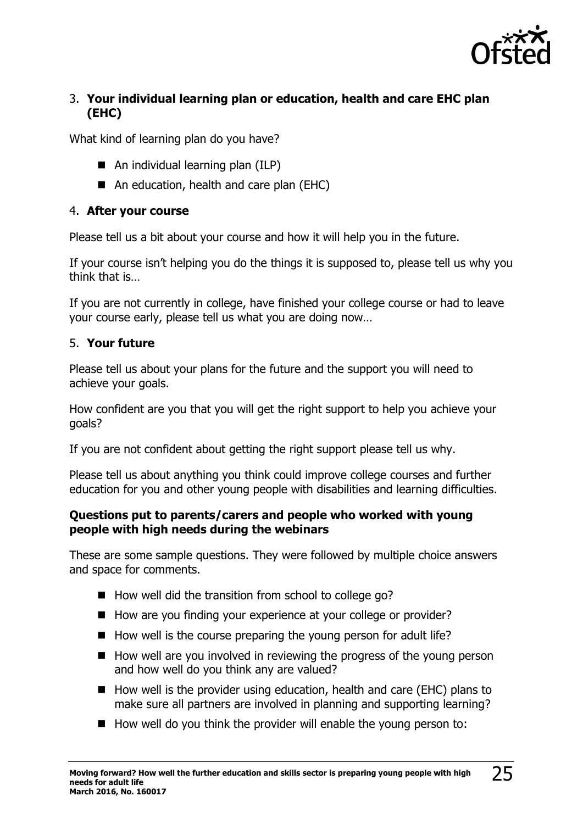

#### 3. **Your individual learning plan or education, health and care EHC plan (EHC)**

What kind of learning plan do you have?

- An individual learning plan (ILP)
- An education, health and care plan (EHC)

#### 4. **After your course**

Please tell us a bit about your course and how it will help you in the future.

If your course isn't helping you do the things it is supposed to, please tell us why you think that is…

If you are not currently in college, have finished your college course or had to leave your course early, please tell us what you are doing now…

#### 5. **Your future**

Please tell us about your plans for the future and the support you will need to achieve your goals.

How confident are you that you will get the right support to help you achieve your goals?

If you are not confident about getting the right support please tell us why.

Please tell us about anything you think could improve college courses and further education for you and other young people with disabilities and learning difficulties.

#### **Questions put to parents/carers and people who worked with young people with high needs during the webinars**

These are some sample questions. They were followed by multiple choice answers and space for comments.

- $\blacksquare$  How well did the transition from school to college go?
- How are you finding your experience at your college or provider?
- $\blacksquare$  How well is the course preparing the young person for adult life?
- $\blacksquare$  How well are you involved in reviewing the progress of the young person and how well do you think any are valued?
- $\blacksquare$  How well is the provider using education, health and care (EHC) plans to make sure all partners are involved in planning and supporting learning?
- $\blacksquare$  How well do you think the provider will enable the young person to: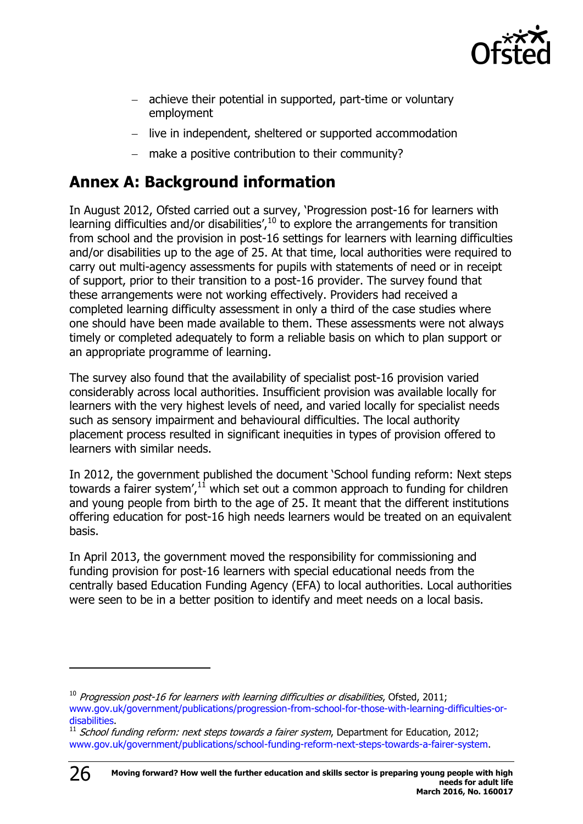

- achieve their potential in supported, part-time or voluntary employment
- live in independent, sheltered or supported accommodation
- make a positive contribution to their community?

### <span id="page-25-0"></span>**Annex A: Background information**

In August 2012, Ofsted carried out a survey, 'Progression post-16 for learners with learning difficulties and/or disabilities', $^{10}$  to explore the arrangements for transition from school and the provision in post-16 settings for learners with learning difficulties and/or disabilities up to the age of 25. At that time, local authorities were required to carry out multi-agency assessments for pupils with statements of need or in receipt of support, prior to their transition to a post-16 provider. The survey found that these arrangements were not working effectively. Providers had received a completed learning difficulty assessment in only a third of the case studies where one should have been made available to them. These assessments were not always timely or completed adequately to form a reliable basis on which to plan support or an appropriate programme of learning.

The survey also found that the availability of specialist post-16 provision varied considerably across local authorities. Insufficient provision was available locally for learners with the very highest levels of need, and varied locally for specialist needs such as sensory impairment and behavioural difficulties. The local authority placement process resulted in significant inequities in types of provision offered to learners with similar needs.

In 2012, the government published the document 'School funding reform: Next steps towards a fairer system', $^{11}$  which set out a common approach to funding for children and young people from birth to the age of 25. It meant that the different institutions offering education for post-16 high needs learners would be treated on an equivalent basis.

In April 2013, the government moved the responsibility for commissioning and funding provision for post-16 learners with special educational needs from the centrally based Education Funding Agency (EFA) to local authorities. Local authorities were seen to be in a better position to identify and meet needs on a local basis.

 $10$  Progression post-16 for learners with learning difficulties or disabilities, Ofsted, 2011; [www.gov.uk/government/publications/progression-from-school-for-those-with-learning-difficulties-or](http://www.gov.uk/government/publications/progression-from-school-for-those-with-learning-difficulties-or-disabilities)[disabilities.](http://www.gov.uk/government/publications/progression-from-school-for-those-with-learning-difficulties-or-disabilities)

 $11$  School funding reform: next steps towards a fairer system, Department for Education, 2012; [www.gov.uk/government/publications/school-funding-reform-next-steps-towards-a-fairer-system.](http://www.gov.uk/government/publications/school-funding-reform-next-steps-towards-a-fairer-system)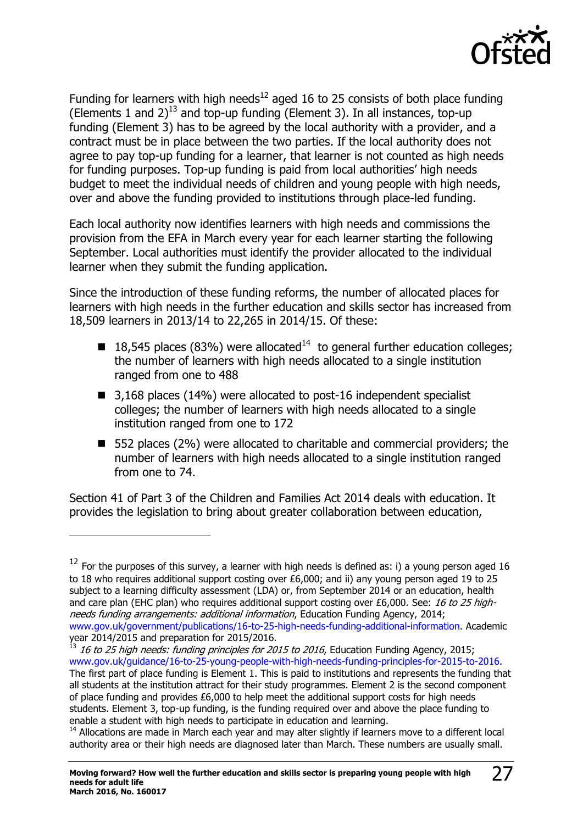

Funding for learners with high needs<sup>12</sup> aged 16 to 25 consists of both place funding (Elements 1 and 2)<sup>13</sup> and top-up funding (Element 3). In all instances, top-up funding (Element 3) has to be agreed by the local authority with a provider, and a contract must be in place between the two parties. If the local authority does not agree to pay top-up funding for a learner, that learner is not counted as high needs for funding purposes. Top-up funding is paid from local authorities' high needs budget to meet the individual needs of children and young people with high needs, over and above the funding provided to institutions through place-led funding.

Each local authority now identifies learners with high needs and commissions the provision from the EFA in March every year for each learner starting the following September. Local authorities must identify the provider allocated to the individual learner when they submit the funding application.

Since the introduction of these funding reforms, the number of allocated places for learners with high needs in the further education and skills sector has increased from 18,509 learners in 2013/14 to 22,265 in 2014/15. Of these:

- **18,545 places (83%) were allocated**<sup>14</sup> to general further education colleges; the number of learners with high needs allocated to a single institution ranged from one to 488
- $\blacksquare$  3,168 places (14%) were allocated to post-16 independent specialist colleges; the number of learners with high needs allocated to a single institution ranged from one to 172
- 552 places (2%) were allocated to charitable and commercial providers; the number of learners with high needs allocated to a single institution ranged from one to 74.

Section 41 of Part 3 of the Children and Families Act 2014 deals with education. It provides the legislation to bring about greater collaboration between education,

 $\overline{a}$ 

<sup>13</sup> 16 to 25 high needs: funding principles for 2015 to 2016, Education Funding Agency, 2015; [www.gov.uk/guidance/16-to-25-young-people-with-high-needs-funding-principles-for-2015-to-2016.](http://www.gov.uk/guidance/16-to-25-young-people-with-high-needs-funding-principles-for-2015-to-2016)

 $12$  For the purposes of this survey, a learner with high needs is defined as: i) a young person aged 16 to 18 who requires additional support costing over £6,000; and ii) any young person aged 19 to 25 subject to a learning difficulty assessment (LDA) or, from September 2014 or an education, health and care plan (EHC plan) who requires additional support costing over £6,000. See: 16 to 25 highneeds funding arrangements: additional information, Education Funding Agency, 2014; [www.gov.uk/government/publications/16-to-25-high-needs-funding-additional-information.](http://www.gov.uk/government/publications/16-to-25-high-needs-funding-additional-information) Academic year 2014/2015 and preparation for 2015/2016.

The first part of place funding is Element 1. This is paid to institutions and represents the funding that all students at the institution attract for their study programmes. Element 2 is the second component of place funding and provides £6,000 to help meet the additional support costs for high needs students. Element 3, top-up funding, is the funding required over and above the place funding to enable a student with high needs to participate in education and learning.

 $14$  Allocations are made in March each year and may alter slightly if learners move to a different local authority area or their high needs are diagnosed later than March. These numbers are usually small.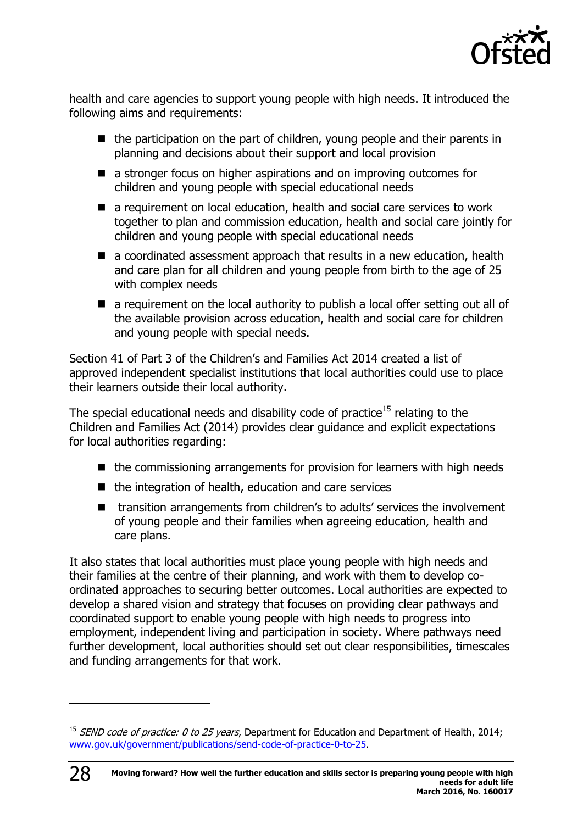

health and care agencies to support young people with high needs. It introduced the following aims and requirements:

- $\blacksquare$  the participation on the part of children, young people and their parents in planning and decisions about their support and local provision
- a stronger focus on higher aspirations and on improving outcomes for children and young people with special educational needs
- a requirement on local education, health and social care services to work together to plan and commission education, health and social care jointly for children and young people with special educational needs
- a coordinated assessment approach that results in a new education, health and care plan for all children and young people from birth to the age of 25 with complex needs
- $\blacksquare$  a requirement on the local authority to publish a local offer setting out all of the available provision across education, health and social care for children and young people with special needs.

Section 41 of Part 3 of the Children's and Families Act 2014 created a list of approved independent specialist institutions that local authorities could use to place their learners outside their local authority.

The special educational needs and disability code of practice<sup>15</sup> relating to the Children and Families Act (2014) provides clear guidance and explicit expectations for local authorities regarding:

- $\blacksquare$  the commissioning arrangements for provision for learners with high needs
- $\blacksquare$  the integration of health, education and care services
- transition arrangements from children's to adults' services the involvement of young people and their families when agreeing education, health and care plans.

It also states that local authorities must place young people with high needs and their families at the centre of their planning, and work with them to develop coordinated approaches to securing better outcomes. Local authorities are expected to develop a shared vision and strategy that focuses on providing clear pathways and coordinated support to enable young people with high needs to progress into employment, independent living and participation in society. Where pathways need further development, local authorities should set out clear responsibilities, timescales and funding arrangements for that work.

<sup>&</sup>lt;sup>15</sup> SEND code of practice: 0 to 25 years, Department for Education and Department of Health, 2014; [www.gov.uk/government/publications/send-code-of-practice-0-to-25.](http://www.gov.uk/government/publications/send-code-of-practice-0-to-25)